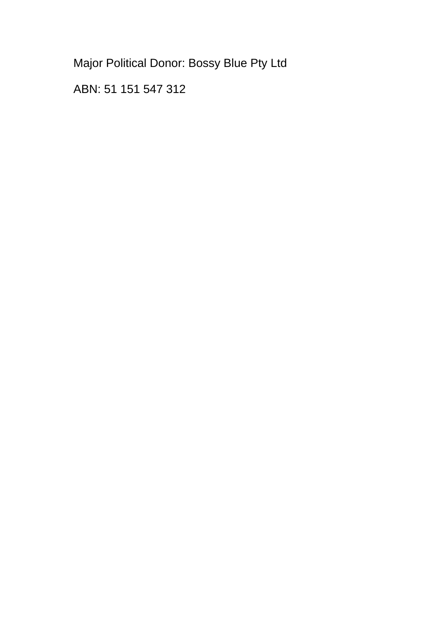Major Political Donor: Bossy Blue Pty Ltd

ABN: 51 151 547 312